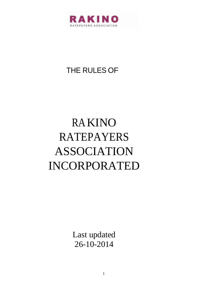

## THE RULES OF

# RAKINO RATEPAYERS ASSOCIATION INCORPORATED

Last updated 26-10-2014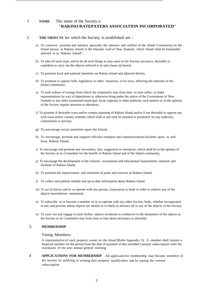### 1 **NAME** The name of the Society is **"RAKINO RATEPAYERS ASSOCIATION INCORPORATED"**

#### 2 **THE OBJECTS** for which the Society is established are -

- a) To conserve, promote and advance generally the interests and welfare of the Island Community on the Island known as Rakino Island in the Hauraki Gulf of New Zealand, which Island shall be hereinafter referred to as "Rakino Island",
- b) To take all such steps, and to do all such things as may seem to the Society necessary, desirable or expedient to carry out the objects referred to in sub-clause (a) hereof,
- c) To promote local and national amenities on Rakino Island and adjacent thereto,
- d) To promote or oppose bills, legislative or other measures, or by-laws, affecting the interests of the Island community,
- e) To seek redress of wrongs from which the community may from time to time suffer, or make representations by way of deputations or otherwise bring under the notice of the Government of New Zealand or any other constituted municipal, local, regional or other authority such matters as in the opinion of the Society require attention or alteration,
- f) To promote if desirable town and/or country planning of Rakino Island and/or if not desirable to oppose any such town and/or country schemes which shall at any time be planned or promoted by any authority, corporations or persons,
- g) To encourage social amenities upon the Island,
- h) To encourage, promote and support efficient transport and communications facilities upon, to and from, Rakino Island,
- i) To encourage and promote any movement, idea, suggestion or enterprise, which shall be in the opinion of the Society or its Committee for the benefit of Rakino Island and of the Island community,
- j) To encourage the development of the cultural, recreational and educational requirements, interests and facilities of Rakino Island,
- k) To promote the improvement and extension of parks and reserves on Rakino Island,
- l) To collect and publish reliable and up-to-date information about Rakino Island,
- m) To act in liaison and to co-operate with any person, corporation or body in order to achieve any of the objects hereinbefore mentioned,
- n) To subscribe to or become a member of or co-operate with any other Society, body, whether incorporated or not, and persons whose objects are similar to or likely to advance all or any of the objects of the Society,
- o) To carry out and engage in such further objects incidental or conducive to the attainment of the objects as the Society or its Committee may from time to time deem necessary or desirable

#### 3. **MEMBERSHIP**

#### Voting Members

A representative of each property owner on the island (Refer Appendix I). A member shall remain a financial member for the period from the date of payment of the member's annual subscription until the conclusion of the next annual general meeting

4 **APPLICATIONS FOR MEMBERSHIP** All applicantsfor membership may become members of the Society by notifying in writing their property qualification and by paying the current subscription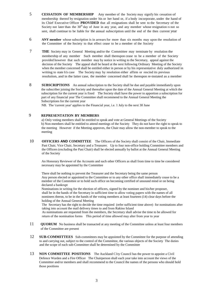- 5 **CESSATION OF MEMBERSHIP** Any member of the Society may signify his cessation of membership thereof by resignation under his or her hand or, if a body incorporate, under the hand of its Chief Executive Officer **PROVIDED** that all resignations shall be sent to the Secretary of the Society not later than the  $30<sup>th</sup>$  day of June in any year, and any member whose resignation IS not so sent, shall continue to be liable for the annual subscription until the end of the then current year
- 6 **ANY member** whose subscription is in arrears for more than six months may upon the resolution of the Committee of the Society to that effect cease to be a member of the Society
- 7 **THE** Society may in General Meeting and/or the Committee may terminate by resolution the membership of any member Such member shall thereupon cease to be a member of the Society provided however that such member may by notice in writing to the Secretary, appeal against the decision of the Society The appeal shall be heard at the next following Ordinary Meeting of the Society when the member concerned shall be entitled either in person or by his representative duly authorized in writing to state h1s case The Society may by resolution either affirm or rescind its previous resolution, and in the latter case, the member concerned shall be thereupon re-instated as a member
- 8 **SUBSCRIPTIONS** An annual subscription to the Society shall be due and payable immediately upon the subscriber joining the Society and thereafter upon the date of the Annual General Meeting at which the subscription for the current year is fixed The Society shall have the power to apportion a subscription for part of any financial year The Committee shall recommend to the Annual General Meeting the Subscriptions for the current year

NB. The 'current year' applies to the Financial year, i.e. 1 July to the next 30 June

#### 9 **REPRESENTATION BY MEMBERS**

a) Only voting members shall be entitled to speak and vote at General Meetings of the Society b) Non-members shall be entitled to attend meetings of the Society They do not have the right to speak to the meeting However if the Meeting approves, the Chair may allow the non-member to speak to the meeting

10 **OFFICERS AND COMMITTEE** The Officers of the Society shall consist of the Chair, Immediate Past Chair, Vice Chair, Secretary and a Treasurer. Up to four non-office holding Committee members and the Officers (excluding the Past Chair) shall be elected annually by ballot at the Annual General Meeting of the Society

An Honorary Reviewer of the Accounts and such other Officers as shall from time to time be considered necessary may be appointed by the Committee

There shall be nothing to prevent the Treasurer and the Secretary being the same person Any person elected or appointed to the Committee or to any other office shall immediately cease to be a member of the Committee or to hold such office on becoming certified of unsound mind or on being declared a bankrupt

Nominations in writing for the election of officers, signed by the nominee and his/her proposer, shall be in the hands of the Secretary in sufficient time to allow voting papers with the names of all nominees theron, to be in the hands of the voting members at least fourteen (14) clear days before the holding of the Annual General Meeting

The Secretary has the right to decide the time required (refer sufficient time above) for nominations after taking into account the mail delivery times to and from Rakino Island

As nominations are requested from the members, the Secretary shall advise the time to be allowed for return of the nomination forms This period of time allowed may alter from year to year

- 11 **QUORUM** No business shall be transacted at any meeting of the Committee unless at least four members of the Committee are present
- 12 **SUB-COMMITTEES** Sub-committees may be appointed by the Committee for the purpose of attending to and carrying out, subject to the control of the Committee, the various objects of the Society The duties and the scope of each sub-Committee shall be determined by the Committee
- 13 **NON COMMITTEE POSITIONS** The Auckland C1ty Council has the power to appoint a Civil Defence Warden and a Fire Officer The Chairperson shall each year take into account the views of the Committee and/or members and shall recommend to the Council the names of the persons who should hold those positions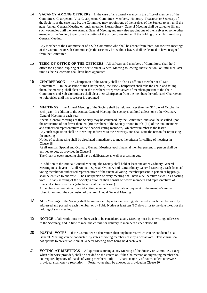14 **VACANCY AMONG OFFICERS** In the case of any casual vacancy in the office of members of the Committee, Chairperson, Vice-Chairperson, Committee Members, Honorary Treasurer or Secretary of the Society, as the case may be, the Committee may appoint one of themselves of the Society to act until the next Annual General Meeting or until an earlier Extraordinary General Meeting shall be called to fill any such vacancies until the next Annual General Meeting and may also appoint one of themselves or some other member of the Society to perform the duties of the office so vacated until the holding of such Extraordinary General Meeting

Any member of the Committee or of a Sub-Committee who shall be absent from three consecutive meetings of the Committee or Sub-Committee (as the case may be) without leave, shall be deemed to have resigned from the Committee

- 15 **TERM OF OFFICE OF THE OFFICERS** All officers, and members of Committees shall hold office for a period expiring at the next Annual General Meeting following their election, or until such later time as their successors shall have been appointed
- 16 **CHAIRPERSON** The Chairperson of the Society shall be also ex officio a member of all Sub-Committees In the absence of the Chairperson, the Vice-Chairperson shall take the chair, and failing them, the meeting shall elect one of the members or representatives of members present to the chair Committees and Sub-Committees shall elect their Chairperson from the members thereof, such Chairperson to hold office until his successor is appointed
- 17 **MEETINGS** the Annual Meeting of the Society shall be held not later than the 31<sup>st</sup> day of October in each year In addition to the Annual General Meeting, the society shall hold at least one other Ordinary General Meeting in each year

Special General Meetings of the Society may he convened by the Committee and shall be so called upon the requisition of not fewer than ten (10) members of the Society or one fourth (l/4) of the total members and authorised representatives of the financial voting members, whichever number is the lesser Any such requisition shall be in writing addressed to the Secretary, and shall state the reason for requesting the meeting

Notice of such meeting shall be circulated immediately to meet the criteria for calling of meetings in Clause 18

At all Annual, Special and Ordinary General Meetings each financial member present in person shall be entitled to vote as provided in Clause 3

The Chair of every meeting shall have a deliberative as well as a casting vote

In addition to the Annual General Meeting, the Society shall hold at least one other Ordinary General Meeting in each year At all Annual, Special, Ordinary and Extraordinary General Meetings, each financial voting member or authorised representative of the financial voting member present in person or by proxy, shall be entitled to one vote The Chairperson of every meeting shall have a deliberative as well as a casting vote At any meeting of the Society a quorum shall consist of twelve members and representatives of financial voting members (whichever shall be the lesser)

A member shall remain a financial voting member from the date of payment of the member's annual subscription until the conclusion of the next Annual General Meeting

- 18 **ALL** Meetings of the Society shall be summoned by notice in writing, delivered to each member or duly addressed and posted to each member, or by Pubic Notice at least ten (10) days prior to the date fixed for the holding of such meeting
- 19 **NOTICE** of all resolutions members wish to be considered at any Meeting must be in writing, addressed to the Secretary, and in time to meet the criteria for delivery to members as per clause 18
- 20 **POSTAL VOTES** If the Committee so determines then any business which can be conducted at a General Meeting can be conducted by votes of voting members cast by a postal vote This clause shall not operate to prevent an Annual General Meeting from being held each year
- 21 **VOTING AT MEETINGS** All questions arising at any Meeting of the Society or Committee, except when otherwise provided, shall be decided on the voices or, if the Chairperson or any voting member shall so require, by show of hands of voting members only A bare majority of votes, unless otherwise provided, shall carry a resolution Postal votes shall be allowed as provided in Clause 20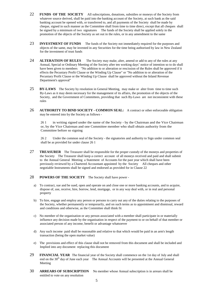- 22 **FUNDS OF THE SOCIETY** All subscriptions, donations, subsidies or moneys of the Society from whatever source derived, shall be paid into the banking account of the Society, at such bank as the said banking account be opened with, or transferred to, and all payments of the Society shall be made by cheque, signed in such manner as the Committee shall from time to time direct, except that all cheques shall be signed by a minimum of two signatures The funds of the Society shall be applied solely in the promotion of the objects of the Society as set out in the rules, or in any amendment to the same
- 23 **INVESTMENT OF FUNDS** The funds of the Society not immediately required for the purposes and objects of the same, may be invested in any Securities for the time being authorised by law in New Zealand for the investment of trust funds
- 24 **ALTERATION OF RULES** The Society may make, alter, amend or add to any of the rules at any Annual, Special or Ordinary Meeting of the Society after ten working days' notice of intention so to do shall have been given to members "No addition to or alteration or rescission of the Rules shall be approved if it effects the Pecuniary Profit Clause or the Winding Up Clause" or "No addition to or alteration of the Pecuniary Profit Clause or the Winding Up Clause shall be approved without the Inland Revenue Department's approval"
- 25 **BY-LAWS** The Society by resolution in General Meeting, may make or alter from time to time such By-Laws as it may deem necessary for the management of its affairs, the promotion of the objects of the Society, and the Government of Committees, providing that such By-Laws are not inconsistent with these rules
- 26 **AUTHORITY TO BIND SOCIETY - COMMON SEAL:** A contract or other enforceable obligation may be entered into by the Society as follows -

26 1 in writing signed under the name of the Society - by the Chairman and the Vice Chairman or, by the Vice Chairman and one Committee member who shall obtain authority from the Committee before so signing

26 2 Under the common seal of the Society - the signatories and authority to Sign under common seal shall be as provided for under clause 26 1

27 **TREASURER** The Treasurer shall be responsible for the proper custody of the moneys and properties of the Society The Treasurer shall keep a correct account of all moneys received and paid and shall submit to the Annual General Meeting a Statement of Accounts for the past year which shall have been previously reviewed by a Chartered Accountant appointed by the Society All cheques and other negotiable Instruments shall be signed and endorsed as provided for in Clause 22

#### 28 **POWERS OF THE SOCIETY** The Society shall have power -

- a) To contract, sue and be sued, open and operate on and close one or more banking accounts, and to acquire, dispose of, use, receive, hire, borrow, lend, mortgage, or in any way deal with, or in real and personal property
- b) To hire, engage and employ any person or persons to carry out any of the duties relating to the purposes of the Society, whether permanently or temporarily, and on such terms as to appointment and dismissal, reward and conditions and otherwise, as the Committee shall think fit
- c) No member of the organisation or any person associated with a member shall participate in or materially influence any decision made by the organisation in respect of the payment to or on behalf of that member or associated person of any income, benefit or advantage whatsoever
- d) Any such income paid shall be reasonable and relative to that which would be paid in an arm's length transaction (being the open market value)
- e) The provisions and effect of this clause shall not be removed from this document and shall be included and Implied into any document replacing this document
- 29 **FINANCIAL YEAR** The financial year of the Society shall commence on the 1st day of July and shall end on the 30<sup>th</sup> day of June each year The Annual Accounts will be presented at the Annual General Meeting
- 30 **ARREARS OF SUBSCRIPTION** No member whose Annual subscription is in arrears shall be entitled to vote on any resolution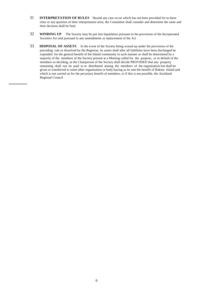- 31 **INTERPRETATION OF RULES** Should any case occur which has not been provided for in these rules or any question of their interpretation arise, the Committee shall consider and determine the same and their decision shall be final
- 32 **WINDING UP** The Society may be put into liquidation pursuant to the provisions of the Incorporated Societies Act and pursuant to any amendments or replacement of the Act
- 33 **DISPOSAL OF ASSETS** In the event of the Society being wound up under the provisions of the preceding rule or dissolved by the Registrar, its assets shall after all liabilities have been discharged be expended for the general benefit of the Island community in such manner as shall be determined by a majority of the members of the Society present at a Meeting called for the purpose, or in default of the members so deciding, as the Chairperson of the Society shall decide PROVIDED that any property remaining shall not be paid to or distributed among the members of the organisation but shall be given or transferred to some other organisation or body having as its aim the benefit of Rakino Island and which is not carried on for the pecuniary benefit of members, or if this is not possible, the Auckland Regional Council